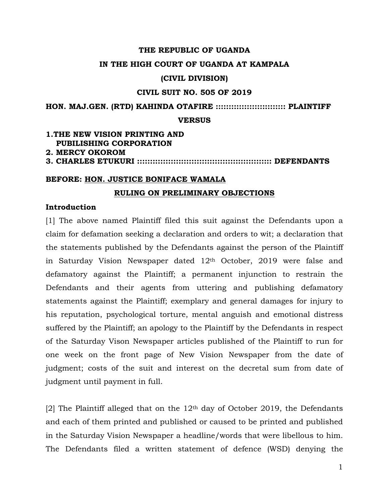#### **THE REPUBLIC OF UGANDA**

#### **IN THE HIGH COURT OF UGANDA AT KAMPALA**

#### **(CIVIL DIVISION)**

### **CIVIL SUIT NO. 505 OF 2019**

**HON. MAJ.GEN. (RTD) KAHINDA OTAFIRE ::::::::::::::::::::::::::: PLAINTIFF** 

#### **VERSUS**

### **1.THE NEW VISION PRINTING AND PUBILISHING CORPORATION 2. MERCY OKOROM 3. CHARLES ETUKURI :::::::::::::::::::::::::::::::::::::::::::::::::::: DEFENDANTS**

#### **BEFORE: HON. JUSTICE BONIFACE WAMALA**

#### **RULING ON PRELIMINARY OBJECTIONS**

### **Introduction**

[1] The above named Plaintiff filed this suit against the Defendants upon a claim for defamation seeking a declaration and orders to wit; a declaration that the statements published by the Defendants against the person of the Plaintiff in Saturday Vision Newspaper dated 12th October, 2019 were false and defamatory against the Plaintiff; a permanent injunction to restrain the Defendants and their agents from uttering and publishing defamatory statements against the Plaintiff; exemplary and general damages for injury to his reputation, psychological torture, mental anguish and emotional distress suffered by the Plaintiff; an apology to the Plaintiff by the Defendants in respect of the Saturday Vison Newspaper articles published of the Plaintiff to run for one week on the front page of New Vision Newspaper from the date of judgment; costs of the suit and interest on the decretal sum from date of judgment until payment in full.

[2] The Plaintiff alleged that on the  $12<sup>th</sup>$  day of October 2019, the Defendants and each of them printed and published or caused to be printed and published in the Saturday Vision Newspaper a headline/words that were libellous to him. The Defendants filed a written statement of defence (WSD) denying the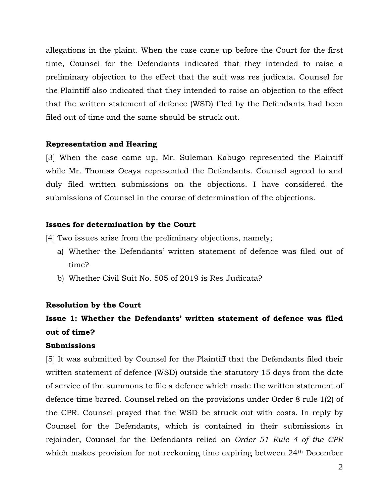allegations in the plaint. When the case came up before the Court for the first time, Counsel for the Defendants indicated that they intended to raise a preliminary objection to the effect that the suit was res judicata. Counsel for the Plaintiff also indicated that they intended to raise an objection to the effect that the written statement of defence (WSD) filed by the Defendants had been filed out of time and the same should be struck out.

### **Representation and Hearing**

[3] When the case came up, Mr. Suleman Kabugo represented the Plaintiff while Mr. Thomas Ocaya represented the Defendants. Counsel agreed to and duly filed written submissions on the objections. I have considered the submissions of Counsel in the course of determination of the objections.

### **Issues for determination by the Court**

[4] Two issues arise from the preliminary objections, namely;

- a) Whether the Defendants' written statement of defence was filed out of time?
- b) Whether Civil Suit No. 505 of 2019 is Res Judicata?

#### **Resolution by the Court**

# **Issue 1: Whether the Defendants' written statement of defence was filed out of time?**

## **Submissions**

[5] It was submitted by Counsel for the Plaintiff that the Defendants filed their written statement of defence (WSD) outside the statutory 15 days from the date of service of the summons to file a defence which made the written statement of defence time barred. Counsel relied on the provisions under Order 8 rule 1(2) of the CPR. Counsel prayed that the WSD be struck out with costs. In reply by Counsel for the Defendants, which is contained in their submissions in rejoinder, Counsel for the Defendants relied on *Order 51 Rule 4 of the CPR* which makes provision for not reckoning time expiring between 24<sup>th</sup> December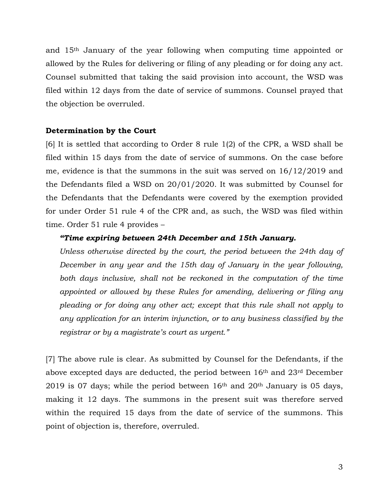and 15th January of the year following when computing time appointed or allowed by the Rules for delivering or filing of any pleading or for doing any act. Counsel submitted that taking the said provision into account, the WSD was filed within 12 days from the date of service of summons. Counsel prayed that the objection be overruled.

## **Determination by the Court**

[6] It is settled that according to Order 8 rule 1(2) of the CPR, a WSD shall be filed within 15 days from the date of service of summons. On the case before me, evidence is that the summons in the suit was served on 16/12/2019 and the Defendants filed a WSD on 20/01/2020. It was submitted by Counsel for the Defendants that the Defendants were covered by the exemption provided for under Order 51 rule 4 of the CPR and, as such, the WSD was filed within time. Order 51 rule 4 provides –

#### *"Time expiring between 24th December and 15th January.*

*Unless otherwise directed by the court, the period between the 24th day of December in any year and the 15th day of January in the year following,*  both days inclusive, shall not be reckoned in the computation of the time *appointed or allowed by these Rules for amending, delivering or filing any pleading or for doing any other act; except that this rule shall not apply to any application for an interim injunction, or to any business classified by the registrar or by a magistrate's court as urgent."*

[7] The above rule is clear. As submitted by Counsel for the Defendants, if the above excepted days are deducted, the period between 16th and 23rd December 2019 is 07 days; while the period between  $16<sup>th</sup>$  and  $20<sup>th</sup>$  January is 05 days, making it 12 days. The summons in the present suit was therefore served within the required 15 days from the date of service of the summons. This point of objection is, therefore, overruled.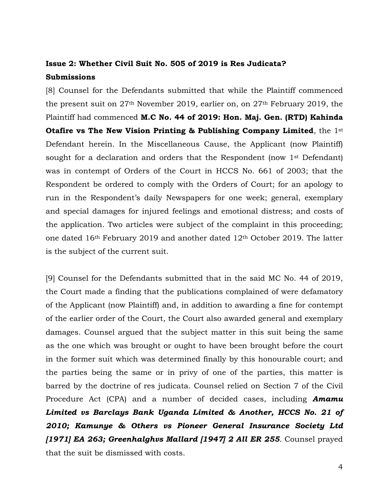## **Issue 2: Whether Civil Suit No. 505 of 2019 is Res Judicata? Submissions**

[8] Counsel for the Defendants submitted that while the Plaintiff commenced the present suit on 27th November 2019, earlier on, on 27th February 2019, the Plaintiff had commenced **M.C No. 44 of 2019: Hon. Maj. Gen. (RTD) Kahinda Otafire vs The New Vision Printing & Publishing Company Limited**, the 1st Defendant herein. In the Miscellaneous Cause, the Applicant (now Plaintiff) sought for a declaration and orders that the Respondent (now 1<sup>st</sup> Defendant) was in contempt of Orders of the Court in HCCS No. 661 of 2003; that the Respondent be ordered to comply with the Orders of Court; for an apology to run in the Respondent's daily Newspapers for one week; general, exemplary and special damages for injured feelings and emotional distress; and costs of the application. Two articles were subject of the complaint in this proceeding; one dated  $16<sup>th</sup>$  February 2019 and another dated  $12<sup>th</sup>$  October 2019. The latter is the subject of the current suit.

[9] Counsel for the Defendants submitted that in the said MC No. 44 of 2019, the Court made a finding that the publications complained of were defamatory of the Applicant (now Plaintiff) and, in addition to awarding a fine for contempt of the earlier order of the Court, the Court also awarded general and exemplary damages. Counsel argued that the subject matter in this suit being the same as the one which was brought or ought to have been brought before the court in the former suit which was determined finally by this honourable court; and the parties being the same or in privy of one of the parties, this matter is barred by the doctrine of res judicata. Counsel relied on Section 7 of the Civil Procedure Act (CPA) and a number of decided cases, including *Amamu Limited vs Barclays Bank Uganda Limited & Another, HCCS No. 21 of 2010; Kamunye & Others vs Pioneer General Insurance Society Ltd [1971] EA 263; Greenhalghvs Mallard [1947] 2 All ER 255*. Counsel prayed that the suit be dismissed with costs.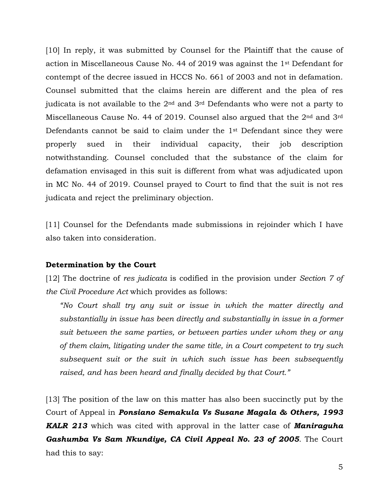[10] In reply, it was submitted by Counsel for the Plaintiff that the cause of action in Miscellaneous Cause No. 44 of 2019 was against the 1st Defendant for contempt of the decree issued in HCCS No. 661 of 2003 and not in defamation. Counsel submitted that the claims herein are different and the plea of res judicata is not available to the  $2<sup>nd</sup>$  and  $3<sup>rd</sup>$  Defendants who were not a party to Miscellaneous Cause No. 44 of 2019. Counsel also argued that the 2<sup>nd</sup> and 3<sup>rd</sup> Defendants cannot be said to claim under the 1st Defendant since they were properly sued in their individual capacity, their job description notwithstanding. Counsel concluded that the substance of the claim for defamation envisaged in this suit is different from what was adjudicated upon in MC No. 44 of 2019. Counsel prayed to Court to find that the suit is not res judicata and reject the preliminary objection.

[11] Counsel for the Defendants made submissions in rejoinder which I have also taken into consideration.

## **Determination by the Court**

[12] The doctrine of *res judicata* is codified in the provision under *Section 7 of the Civil Procedure Act* which provides as follows:

*"No Court shall try any suit or issue in which the matter directly and substantially in issue has been directly and substantially in issue in a former suit between the same parties, or between parties under whom they or any of them claim, litigating under the same title, in a Court competent to try such subsequent suit or the suit in which such issue has been subsequently raised, and has been heard and finally decided by that Court."*

[13] The position of the law on this matter has also been succinctly put by the Court of Appeal in *Ponsiano Semakula Vs Susane Magala & Others, 1993 KALR 213* which was cited with approval in the latter case of *Maniraguha Gashumba Vs Sam Nkundiye, CA Civil Appeal No. 23 of 2005*. The Court had this to say: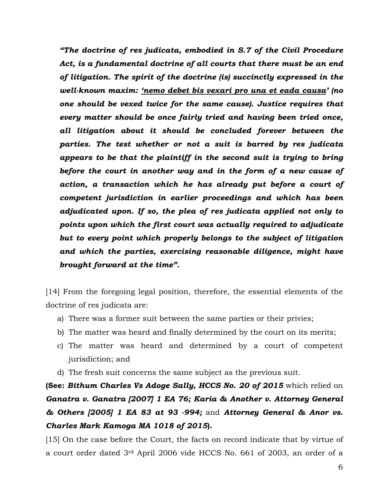*"The doctrine of res judicata, embodied in S.7 of the Civil Procedure Act, is a fundamental doctrine of all courts that there must be an end of litigation. The spirit of the doctrine (is) succinctly expressed in the well-known maxim: 'nemo debet bis vexari pro una et eada causa' (no one should be vexed twice for the same cause). Justice requires that every matter should be once fairly tried and having been tried once, all litigation about it should be concluded forever between the parties. The test whether or not a suit is barred by res judicata appears to be that the plaintiff in the second suit is trying to bring before the court in another way and in the form of a new cause of action, a transaction which he has already put before a court of competent jurisdiction in earlier proceedings and which has been adjudicated upon. If so, the plea of res judicata applied not only to points upon which the first court was actually required to adjudicate but to every point which properly belongs to the subject of litigation and which the parties, exercising reasonable diligence, might have brought forward at the time".* 

[14] From the foregoing legal position, therefore, the essential elements of the doctrine of res judicata are:

- a) There was a former suit between the same parties or their privies;
- b) The matter was heard and finally determined by the court on its merits;
- c) The matter was heard and determined by a court of competent jurisdiction; and
- d) The fresh suit concerns the same subject as the previous suit.

**(See:** *Bithum Charles Vs Adoge Sally, HCCS No. 20 of 2015* which relied on *Ganatra v. Ganatra [2007] 1 EA 76; Karia & Another v. Attorney General & Others [2005] 1 EA 83 at 93 -994;* and *Attorney General & Anor vs. Charles Mark Kamoga MA 1018 of 2015***).**

[15] On the case before the Court, the facts on record indicate that by virtue of a court order dated 3rd April 2006 vide HCCS No. 661 of 2003, an order of a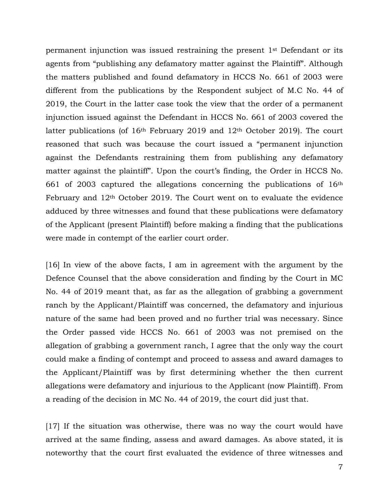permanent injunction was issued restraining the present 1st Defendant or its agents from "publishing any defamatory matter against the Plaintiff". Although the matters published and found defamatory in HCCS No. 661 of 2003 were different from the publications by the Respondent subject of M.C No. 44 of 2019, the Court in the latter case took the view that the order of a permanent injunction issued against the Defendant in HCCS No. 661 of 2003 covered the latter publications (of  $16<sup>th</sup>$  February 2019 and  $12<sup>th</sup>$  October 2019). The court reasoned that such was because the court issued a "permanent injunction against the Defendants restraining them from publishing any defamatory matter against the plaintiff". Upon the court's finding, the Order in HCCS No. 661 of 2003 captured the allegations concerning the publications of 16th February and 12th October 2019. The Court went on to evaluate the evidence adduced by three witnesses and found that these publications were defamatory of the Applicant (present Plaintiff) before making a finding that the publications were made in contempt of the earlier court order.

[16] In view of the above facts, I am in agreement with the argument by the Defence Counsel that the above consideration and finding by the Court in MC No. 44 of 2019 meant that, as far as the allegation of grabbing a government ranch by the Applicant/Plaintiff was concerned, the defamatory and injurious nature of the same had been proved and no further trial was necessary. Since the Order passed vide HCCS No. 661 of 2003 was not premised on the allegation of grabbing a government ranch, I agree that the only way the court could make a finding of contempt and proceed to assess and award damages to the Applicant/Plaintiff was by first determining whether the then current allegations were defamatory and injurious to the Applicant (now Plaintiff). From a reading of the decision in MC No. 44 of 2019, the court did just that.

[17] If the situation was otherwise, there was no way the court would have arrived at the same finding, assess and award damages. As above stated, it is noteworthy that the court first evaluated the evidence of three witnesses and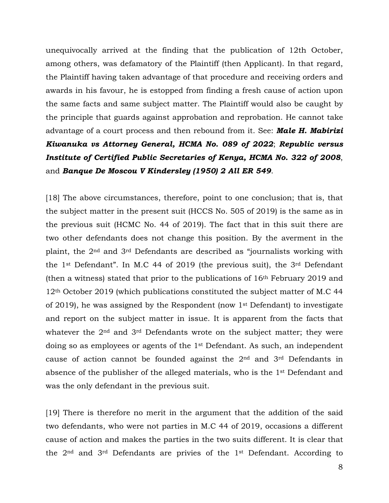unequivocally arrived at the finding that the publication of 12th October, among others, was defamatory of the Plaintiff (then Applicant). In that regard, the Plaintiff having taken advantage of that procedure and receiving orders and awards in his favour, he is estopped from finding a fresh cause of action upon the same facts and same subject matter. The Plaintiff would also be caught by the principle that guards against approbation and reprobation. He cannot take advantage of a court process and then rebound from it. See: *Male H. Mabirizi Kiwanuka vs Attorney General, HCMA No. 089 of 2022*; *Republic versus Institute of Certified Public Secretaries of Kenya, HCMA No. 322 of 2008*, and *Banque De Moscou V Kindersley (1950) 2 All ER 549*.

[18] The above circumstances, therefore, point to one conclusion; that is, that the subject matter in the present suit (HCCS No. 505 of 2019) is the same as in the previous suit (HCMC No. 44 of 2019). The fact that in this suit there are two other defendants does not change this position. By the averment in the plaint, the 2nd and 3rd Defendants are described as "journalists working with the 1st Defendant". In M.C 44 of 2019 (the previous suit), the 3rd Defendant (then a witness) stated that prior to the publications of  $16<sup>th</sup>$  February 2019 and 12th October 2019 (which publications constituted the subject matter of M.C 44 of 2019), he was assigned by the Respondent (now 1st Defendant) to investigate and report on the subject matter in issue. It is apparent from the facts that whatever the 2<sup>nd</sup> and 3<sup>rd</sup> Defendants wrote on the subject matter; they were doing so as employees or agents of the 1st Defendant. As such, an independent cause of action cannot be founded against the  $2<sup>nd</sup>$  and  $3<sup>rd</sup>$  Defendants in absence of the publisher of the alleged materials, who is the 1st Defendant and was the only defendant in the previous suit.

[19] There is therefore no merit in the argument that the addition of the said two defendants, who were not parties in M.C 44 of 2019, occasions a different cause of action and makes the parties in the two suits different. It is clear that the 2nd and 3rd Defendants are privies of the 1st Defendant. According to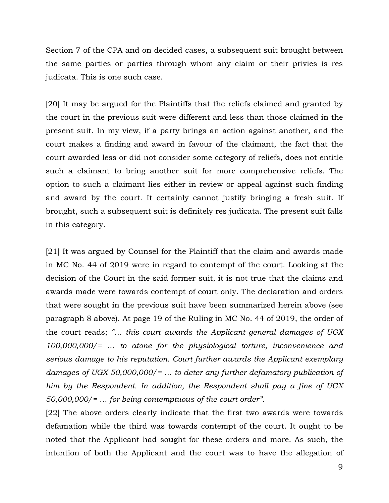Section 7 of the CPA and on decided cases, a subsequent suit brought between the same parties or parties through whom any claim or their privies is res judicata. This is one such case.

[20] It may be argued for the Plaintiffs that the reliefs claimed and granted by the court in the previous suit were different and less than those claimed in the present suit. In my view, if a party brings an action against another, and the court makes a finding and award in favour of the claimant, the fact that the court awarded less or did not consider some category of reliefs, does not entitle such a claimant to bring another suit for more comprehensive reliefs. The option to such a claimant lies either in review or appeal against such finding and award by the court. It certainly cannot justify bringing a fresh suit. If brought, such a subsequent suit is definitely res judicata. The present suit falls in this category.

[21] It was argued by Counsel for the Plaintiff that the claim and awards made in MC No. 44 of 2019 were in regard to contempt of the court. Looking at the decision of the Court in the said former suit, it is not true that the claims and awards made were towards contempt of court only. The declaration and orders that were sought in the previous suit have been summarized herein above (see paragraph 8 above). At page 19 of the Ruling in MC No. 44 of 2019, the order of the court reads; *"… this court awards the Applicant general damages of UGX 100,000,000/= … to atone for the physiological torture, inconvenience and serious damage to his reputation. Court further awards the Applicant exemplary damages of UGX 50,000,000/= … to deter any further defamatory publication of him by the Respondent. In addition, the Respondent shall pay a fine of UGX 50,000,000/= … for being contemptuous of the court order"*.

[22] The above orders clearly indicate that the first two awards were towards defamation while the third was towards contempt of the court. It ought to be noted that the Applicant had sought for these orders and more. As such, the intention of both the Applicant and the court was to have the allegation of